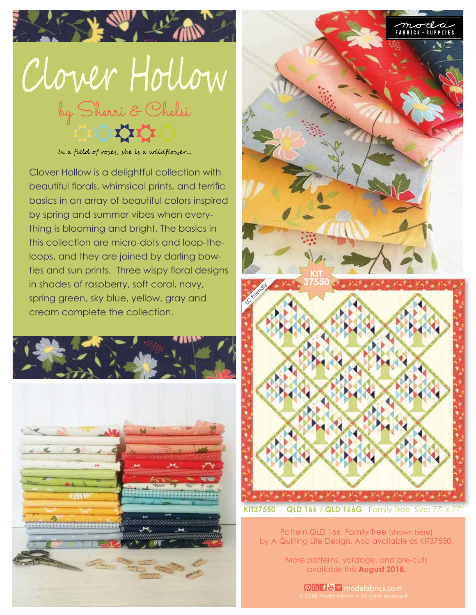

In a field of roses, she is a wildflower...

Clover Hollow is a delightful collection with beautiful florals, whimsical prints, and terrific basics in an array of beautiful colors inspired by spring and summer vibes when everything is blooming and bright. The basics in this collection are micro-dots and loop-theloops, and they are joined by darling bowties and sun prints. Three wispy floral designs in shades of raspberry, soft coral, navy, spring green, sky blue, yellow, gray and cream complete the collection.





Pattern QLD 166 Family Tree (shown here) by A Quilting Life Design. Also available as KIT37550.

> More patterns, yardage, and pre-cuts available this **August 2018.**

> > **DB f儡い** modafabrics.com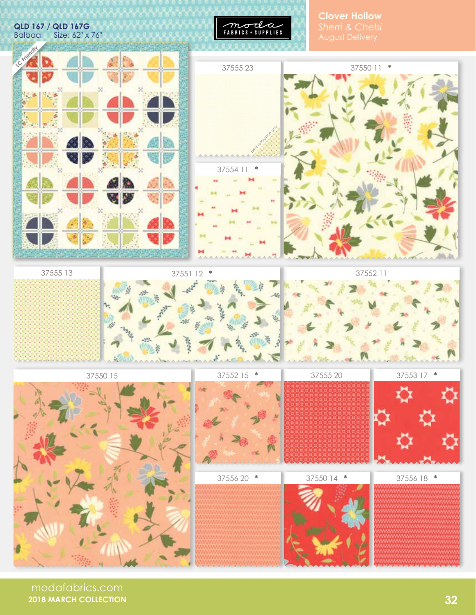**QLD 167 / QLD 167G**  Size: 62" x 76"



**Clover Hollow**







37555 13





37556 20 **\***

37550 15









37555 20 37553 17 **\***

| 37550 14 * | $\Rightarrow$<br>37556 18 |
|------------|---------------------------|
|            |                           |

modafabrics.com **2018 MARCH COLLECTION**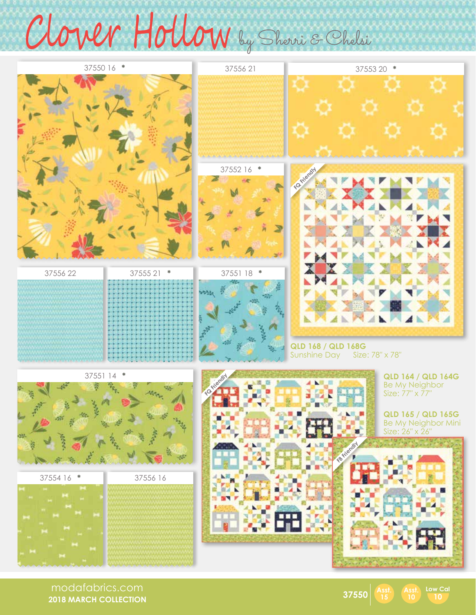## Clover Hollow by Shorri & Chelsi



modafabrics.com **2018 MARCH COLLECTION**



**10 Low Cal**